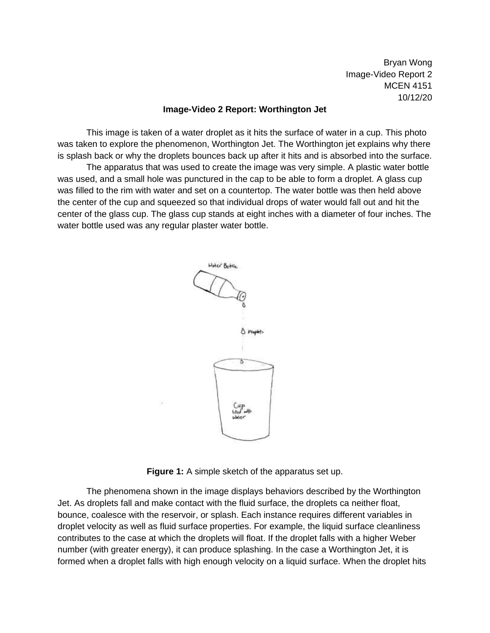Bryan Wong Image-Video Report 2 MCEN 4151 10/12/20

## **Image-Video 2 Report: Worthington Jet**

This image is taken of a water droplet as it hits the surface of water in a cup. This photo was taken to explore the phenomenon, Worthington Jet. The Worthington jet explains why there is splash back or why the droplets bounces back up after it hits and is absorbed into the surface.

The apparatus that was used to create the image was very simple. A plastic water bottle was used, and a small hole was punctured in the cap to be able to form a droplet. A glass cup was filled to the rim with water and set on a countertop. The water bottle was then held above the center of the cup and squeezed so that individual drops of water would fall out and hit the center of the glass cup. The glass cup stands at eight inches with a diameter of four inches. The water bottle used was any regular plaster water bottle.



**Figure 1:** A simple sketch of the apparatus set up.

The phenomena shown in the image displays behaviors described by the Worthington Jet. As droplets fall and make contact with the fluid surface, the droplets ca neither float, bounce, coalesce with the reservoir, or splash. Each instance requires different variables in droplet velocity as well as fluid surface properties. For example, the liquid surface cleanliness contributes to the case at which the droplets will float. If the droplet falls with a higher Weber number (with greater energy), it can produce splashing. In the case a Worthington Jet, it is formed when a droplet falls with high enough velocity on a liquid surface. When the droplet hits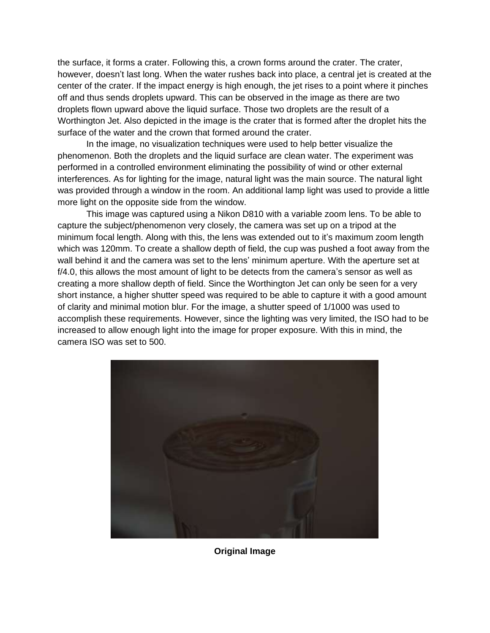the surface, it forms a crater. Following this, a crown forms around the crater. The crater, however, doesn't last long. When the water rushes back into place, a central jet is created at the center of the crater. If the impact energy is high enough, the jet rises to a point where it pinches off and thus sends droplets upward. This can be observed in the image as there are two droplets flown upward above the liquid surface. Those two droplets are the result of a Worthington Jet. Also depicted in the image is the crater that is formed after the droplet hits the surface of the water and the crown that formed around the crater.

In the image, no visualization techniques were used to help better visualize the phenomenon. Both the droplets and the liquid surface are clean water. The experiment was performed in a controlled environment eliminating the possibility of wind or other external interferences. As for lighting for the image, natural light was the main source. The natural light was provided through a window in the room. An additional lamp light was used to provide a little more light on the opposite side from the window.

This image was captured using a Nikon D810 with a variable zoom lens. To be able to capture the subject/phenomenon very closely, the camera was set up on a tripod at the minimum focal length. Along with this, the lens was extended out to it's maximum zoom length which was 120mm. To create a shallow depth of field, the cup was pushed a foot away from the wall behind it and the camera was set to the lens' minimum aperture. With the aperture set at f/4.0, this allows the most amount of light to be detects from the camera's sensor as well as creating a more shallow depth of field. Since the Worthington Jet can only be seen for a very short instance, a higher shutter speed was required to be able to capture it with a good amount of clarity and minimal motion blur. For the image, a shutter speed of 1/1000 was used to accomplish these requirements. However, since the lighting was very limited, the ISO had to be increased to allow enough light into the image for proper exposure. With this in mind, the camera ISO was set to 500.



**Original Image**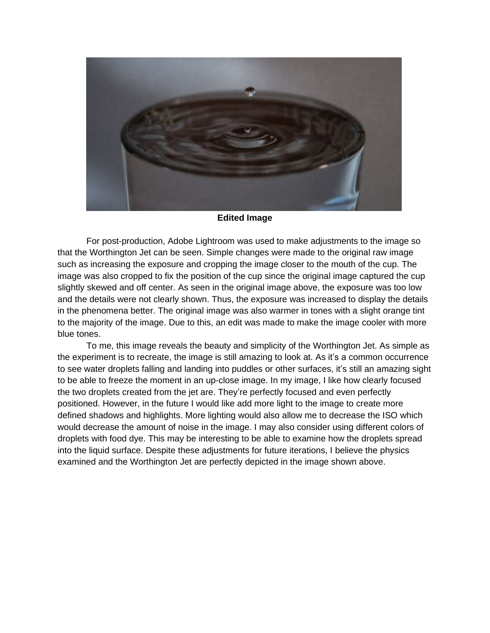

## **Edited Image**

For post-production, Adobe Lightroom was used to make adjustments to the image so that the Worthington Jet can be seen. Simple changes were made to the original raw image such as increasing the exposure and cropping the image closer to the mouth of the cup. The image was also cropped to fix the position of the cup since the original image captured the cup slightly skewed and off center. As seen in the original image above, the exposure was too low and the details were not clearly shown. Thus, the exposure was increased to display the details in the phenomena better. The original image was also warmer in tones with a slight orange tint to the majority of the image. Due to this, an edit was made to make the image cooler with more blue tones.

To me, this image reveals the beauty and simplicity of the Worthington Jet. As simple as the experiment is to recreate, the image is still amazing to look at. As it's a common occurrence to see water droplets falling and landing into puddles or other surfaces, it's still an amazing sight to be able to freeze the moment in an up-close image. In my image, I like how clearly focused the two droplets created from the jet are. They're perfectly focused and even perfectly positioned. However, in the future I would like add more light to the image to create more defined shadows and highlights. More lighting would also allow me to decrease the ISO which would decrease the amount of noise in the image. I may also consider using different colors of droplets with food dye. This may be interesting to be able to examine how the droplets spread into the liquid surface. Despite these adjustments for future iterations, I believe the physics examined and the Worthington Jet are perfectly depicted in the image shown above.